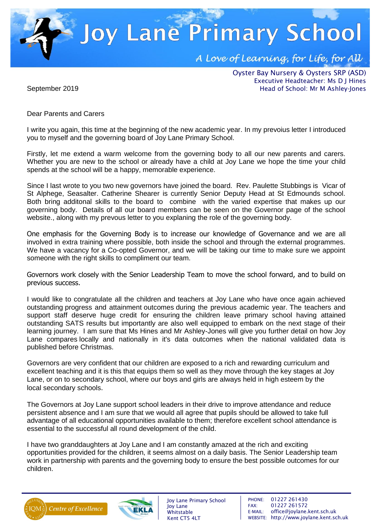**Joy Lane Primary School** A Love of Learning, for Life, for All

> Oyster Bay Nursery & Oysters SRP (ASD) Executive Headteacher: Ms D J Hines Head of School: Mr M Ashley-Jones

September 2019

Dear Parents and Carers

I write you again, this time at the beginning of the new academic year. In my prevoius letter I introduced you to myself and the governing board of Joy Lane Primary School.

Firstly, let me extend a warm welcome from the governing body to all our new parents and carers. Whether you are new to the school or already have a child at Joy Lane we hope the time your child spends at the school will be a happy, memorable experience.

Since I last wrote to you two new governors have joined the board. Rev. Paulette Stubbings is Vicar of St Alphege, Seasalter. Catherine Shearer is currently Senior Deputy Head at St Edmounds school. Both bring additonal skills to the board to combine with the varied expertise that makes up our governing body. Details of all our board members can be seen on the Governor page of the school website., along with my prevous letter to you explaning the role of the governing body.

One emphasis for the Governing Body is to increase our knowledge of Governance and we are all involved in extra training where possible, both inside the school and through the external programmes. We have a vacancy for a Co-opted Governor, and we will be taking our time to make sure we appoint someone with the right skills to compliment our team.

Governors work closely with the Senior Leadership Team to move the school forward, and to build on previous success.

I would like to congratulate all the children and teachers at Joy Lane who have once again achieved outstanding progress and attainment outcomes during the previous academic year. The teachers and support staff deserve huge credit for ensuring the children leave primary school having attained outstanding SATS results but importantly are also well equipped to embark on the next stage of their learning journey. I am sure that Ms Hines and Mr Ashley-Jones will give you further detail on how Joy Lane compares locally and nationally in it's data outcomes when the national validated data is published before Christmas.

Governors are very confident that our children are exposed to a rich and rewarding curriculum and excellent teaching and it is this that equips them so well as they move through the key stages at Joy Lane, or on to secondary school, where our boys and girls are always held in high esteem by the local secondary schools.

The Governors at Joy Lane support school leaders in their drive to improve attendance and reduce persistent absence and I am sure that we would all agree that pupils should be allowed to take full advantage of all educational opportunities available to them; therefore excellent school attendance is essential to the successful all round development of the child.

I have two granddaughters at Joy Lane and I am constantly amazed at the rich and exciting opportunities provided for the children, it seems almost on a daily basis. The Senior Leadership team work in partnership with parents and the governing body to ensure the best possible outcomes for our children.





Joy Lane Primary School Joy Lane Whitstable Kent CT5 4LT

PHONE: 01227 261430 FAX: 01227 261572 E-MAIL: office@joylane.kent.sch.uk WEBSITE: http://www.joylane.kent.sch.uk